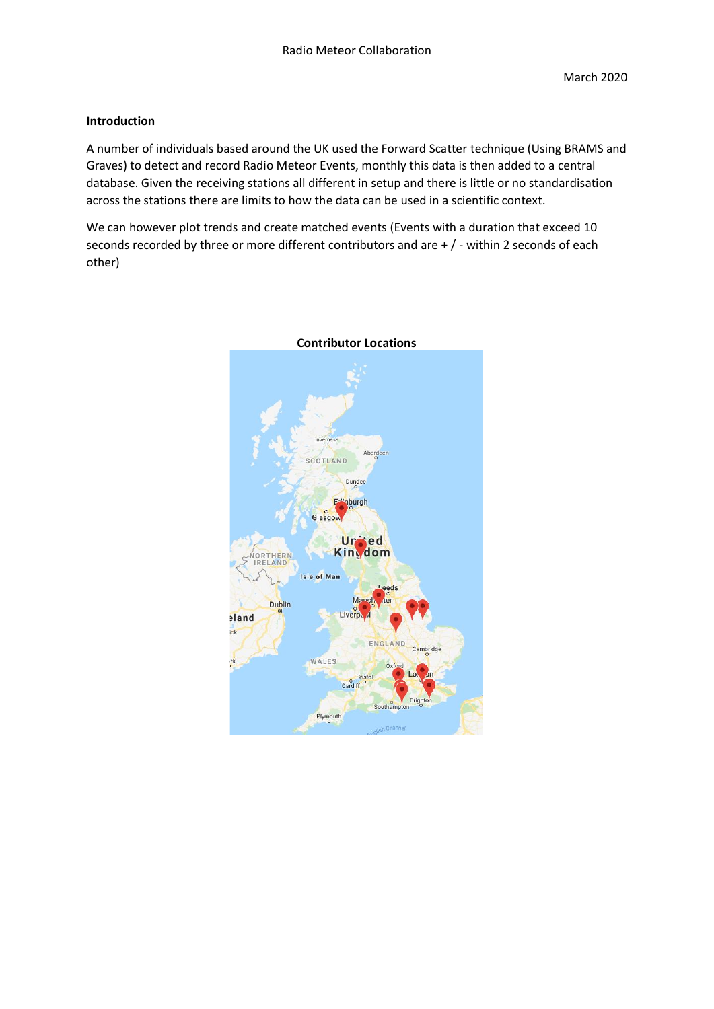# **Introduction**

A number of individuals based around the UK used the Forward Scatter technique (Using BRAMS and Graves) to detect and record Radio Meteor Events, monthly this data is then added to a central database. Given the receiving stations all different in setup and there is little or no standardisation across the stations there are limits to how the data can be used in a scientific context.

We can however plot trends and create matched events (Events with a duration that exceed 10 seconds recorded by three or more different contributors and are + / - within 2 seconds of each other)



### **Contributor Locations**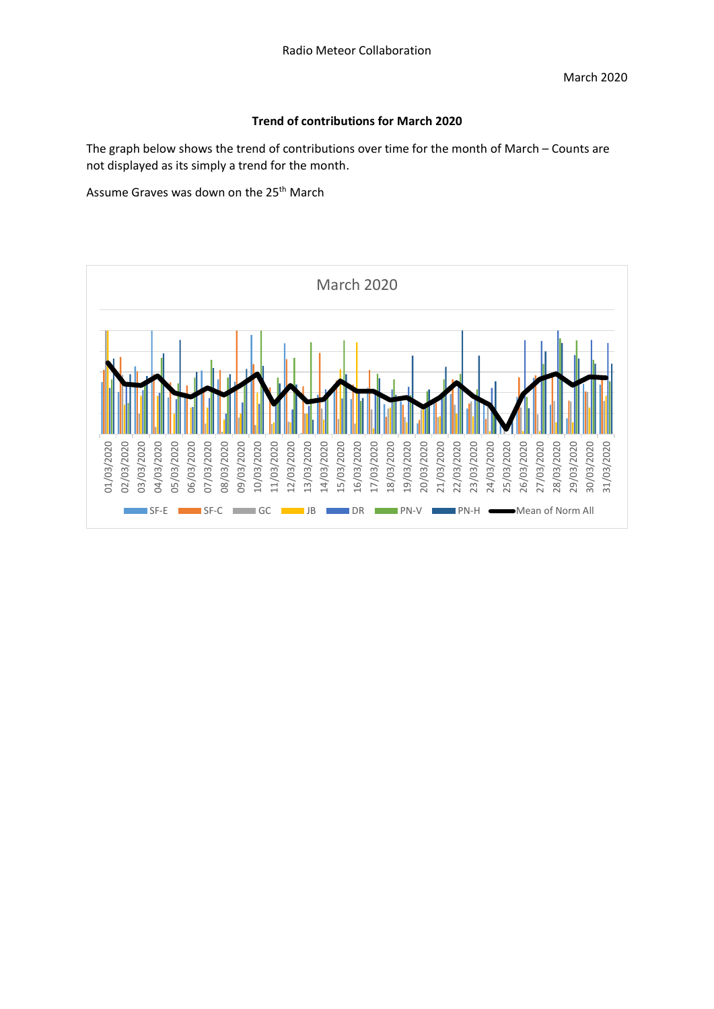# **Trend of contributions for March 2020**

The graph below shows the trend of contributions over time for the month of March – Counts are not displayed as its simply a trend for the month.

Assume Graves was down on the 25<sup>th</sup> March

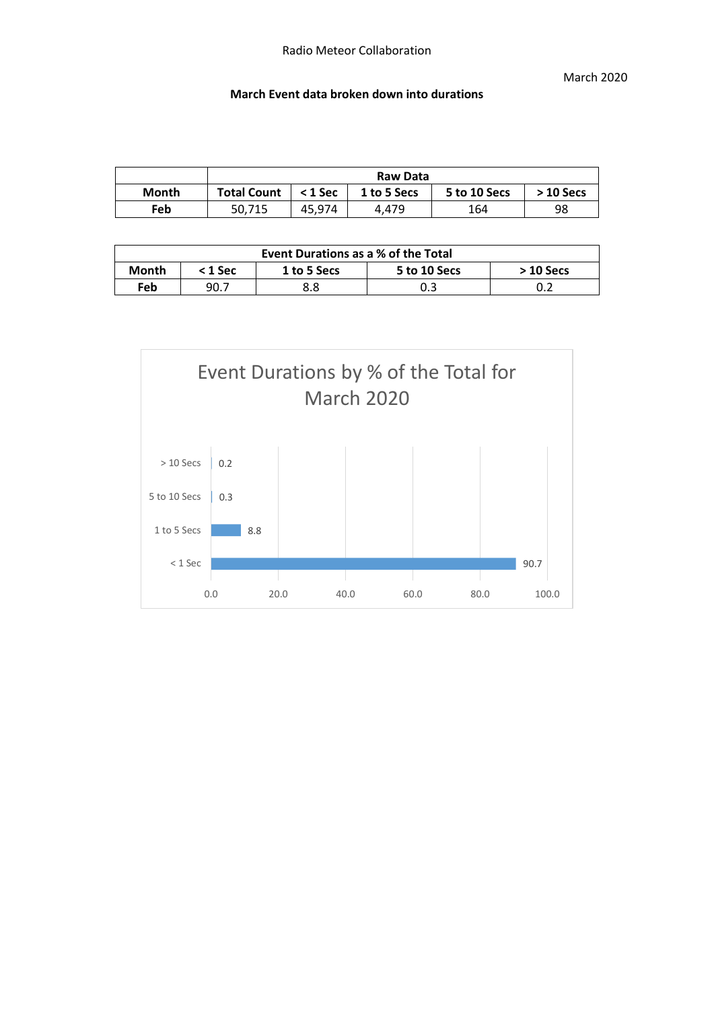## **March Event data broken down into durations**

|              | Raw Data           |           |             |              |             |  |  |
|--------------|--------------------|-----------|-------------|--------------|-------------|--|--|
| <b>Month</b> | <b>Total Count</b> | $<$ 1 Sec | 1 to 5 Secs | 5 to 10 Secs | $>$ 10 Secs |  |  |
| Feb          | 50.715             | 45.974    | 4.479       | 164          | 98          |  |  |

| Event Durations as a % of the Total |                                                      |     |     |  |  |  |  |
|-------------------------------------|------------------------------------------------------|-----|-----|--|--|--|--|
| Month                               | 5 to 10 Secs<br>1 to 5 Secs<br>< 1 Sec<br>$>10$ Secs |     |     |  |  |  |  |
| Feb                                 | 90.7                                                 | 8.8 | 0.3 |  |  |  |  |

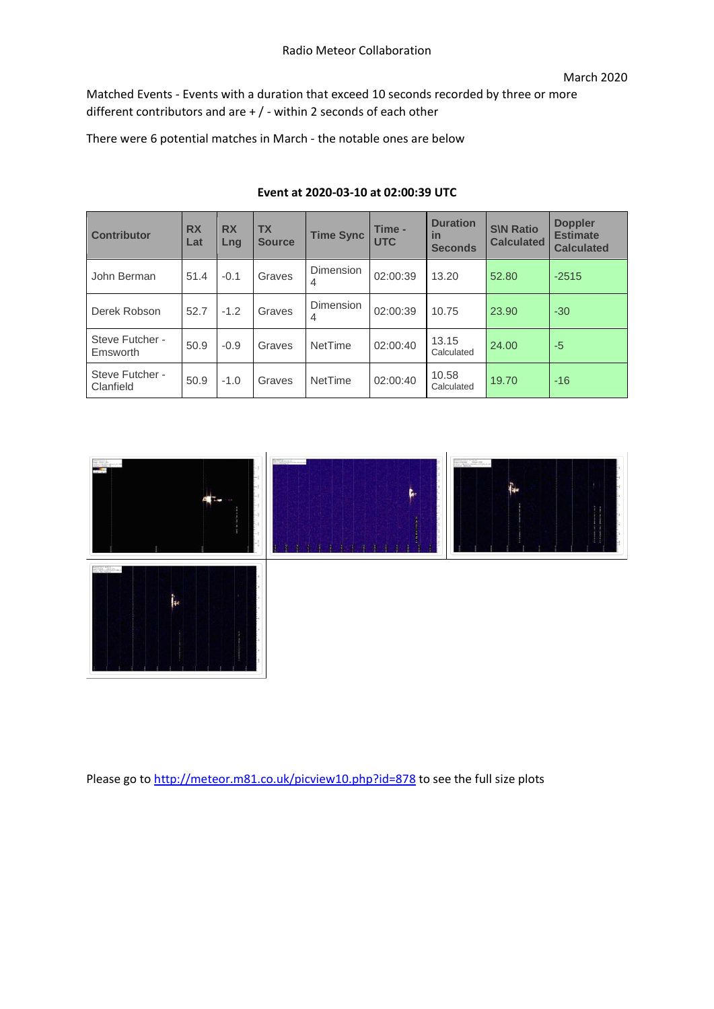Matched Events - Events with a duration that exceed 10 seconds recorded by three or more different contributors and are + / - within 2 seconds of each other

There were 6 potential matches in March - the notable ones are below

| <b>Contributor</b>           | <b>RX</b><br>Lat | <b>RX</b><br>Lng | <b>TX</b><br><b>Source</b> | <b>Time Sync</b> | Time -<br><b>UTC</b> | <b>Duration</b><br>in<br><b>Seconds</b> | <b>S\N Ratio</b><br><b>Calculated</b> | <b>Doppler</b><br><b>Estimate</b><br><b>Calculated</b> |
|------------------------------|------------------|------------------|----------------------------|------------------|----------------------|-----------------------------------------|---------------------------------------|--------------------------------------------------------|
| John Berman                  | 51.4             | $-0.1$           | Graves                     | Dimension<br>4   | 02:00:39             | 13.20                                   | 52.80                                 | $-2515$                                                |
| Derek Robson                 | 52.7             | $-1.2$           | Graves                     | Dimension<br>4   | 02:00:39             | 10.75                                   | 23.90                                 | $-30$                                                  |
| Steve Futcher -<br>Emsworth  | 50.9             | $-0.9$           | Graves                     | NetTime          | 02:00:40             | 13.15<br>Calculated                     | 24.00                                 | $-5$                                                   |
| Steve Futcher -<br>Clanfield | 50.9             | $-1.0$           | Graves                     | NetTime          | 02:00:40             | 10.58<br>Calculated                     | 19.70                                 | $-16$                                                  |

# **Event at 2020-03-10 at 02:00:39 UTC**



Please go to<http://meteor.m81.co.uk/picview10.php?id=878> to see the full size plots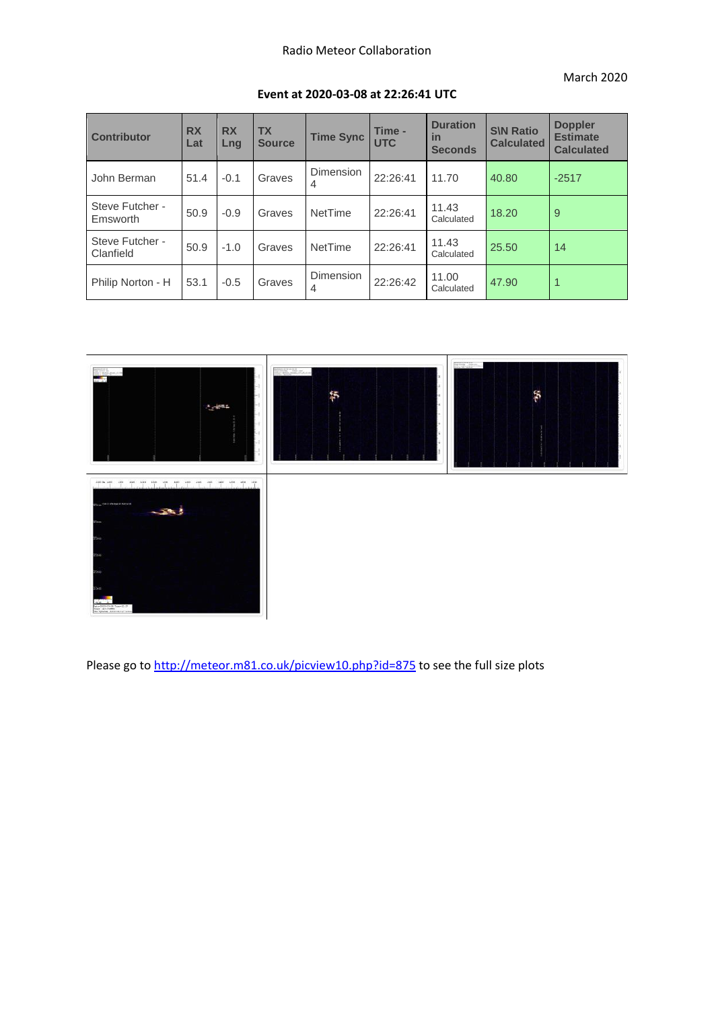#### March 2020

| <b>Contributor</b>           | <b>RX</b><br>Lat | <b>RX</b><br>Lng | <b>TX</b><br><b>Source</b> | <b>Time Sync</b>                   | Time -<br><b>UTC</b> | <b>Duration</b><br>in<br><b>Seconds</b> | <b>S\N Ratio</b><br><b>Calculated</b> | <b>Doppler</b><br><b>Estimate</b><br><b>Calculated</b> |
|------------------------------|------------------|------------------|----------------------------|------------------------------------|----------------------|-----------------------------------------|---------------------------------------|--------------------------------------------------------|
| John Berman                  | 51.4             | $-0.1$           | Graves                     | <b>Dimension</b><br>$\overline{4}$ | 22:26:41             | 11.70                                   | 40.80                                 | $-2517$                                                |
| Steve Futcher -<br>Emsworth  | 50.9             | $-0.9$           | Graves                     | NetTime                            | 22:26:41             | 11.43<br>Calculated                     | 18.20                                 | 9                                                      |
| Steve Futcher -<br>Clanfield | 50.9             | $-1.0$           | Graves                     | NetTime                            | 22:26:41             | 11.43<br>Calculated                     | 25.50                                 | 14                                                     |
| Philip Norton - H            | 53.1             | $-0.5$           | Graves                     | Dimension<br>4                     | 22:26:42             | 11.00<br>Calculated                     | 47.90                                 |                                                        |

### **Event at 2020-03-08 at 22:26:41 UTC**



Please go to<http://meteor.m81.co.uk/picview10.php?id=875> to see the full size plots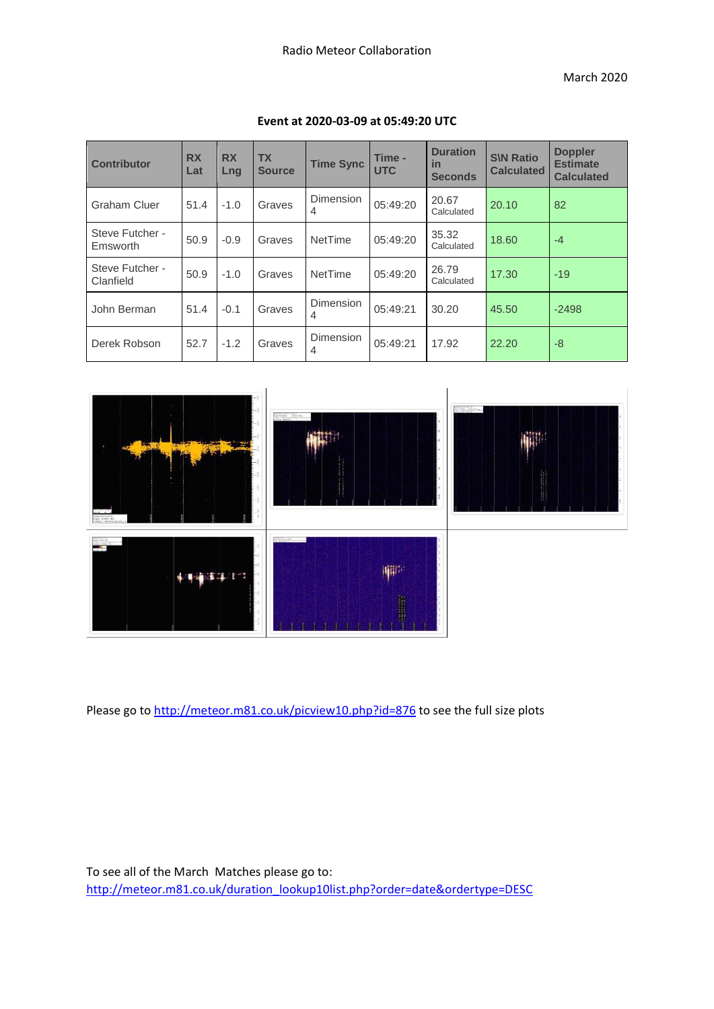| <b>Contributor</b>           | <b>RX</b><br>Lat | <b>RX</b><br>Lng | <b>TX</b><br><b>Source</b> | <b>Time Sync</b>      | Time -<br><b>UTC</b> | <b>Duration</b><br>in<br><b>Seconds</b> | <b>S\N Ratio</b><br><b>Calculated</b> | <b>Doppler</b><br><b>Estimate</b><br><b>Calculated</b> |
|------------------------------|------------------|------------------|----------------------------|-----------------------|----------------------|-----------------------------------------|---------------------------------------|--------------------------------------------------------|
| <b>Graham Cluer</b>          | 51.4             | $-1.0$           | Graves                     | Dimension<br>4        | 05:49:20             | 20.67<br>Calculated                     | 20.10                                 | 82                                                     |
| Steve Futcher -<br>Emsworth  | 50.9             | $-0.9$           | Graves                     | NetTime               | 05:49:20             | 35.32<br>Calculated                     | 18.60                                 | $-4$                                                   |
| Steve Futcher -<br>Clanfield | 50.9             | $-1.0$           | Graves                     | NetTime               | 05:49:20             | 26.79<br>Calculated                     | 17.30                                 | $-19$                                                  |
| John Berman                  | 51.4             | $-0.1$           | Graves                     | Dimension<br>4        | 05:49:21             | 30.20                                   | 45.50                                 | $-2498$                                                |
| Derek Robson                 | 52.7             | $-1.2$           | Graves                     | <b>Dimension</b><br>4 | 05:49:21             | 17.92                                   | 22.20                                 | $-8$                                                   |

### **Event at 2020-03-09 at 05:49:20 UTC**



Please go to<http://meteor.m81.co.uk/picview10.php?id=876> to see the full size plots